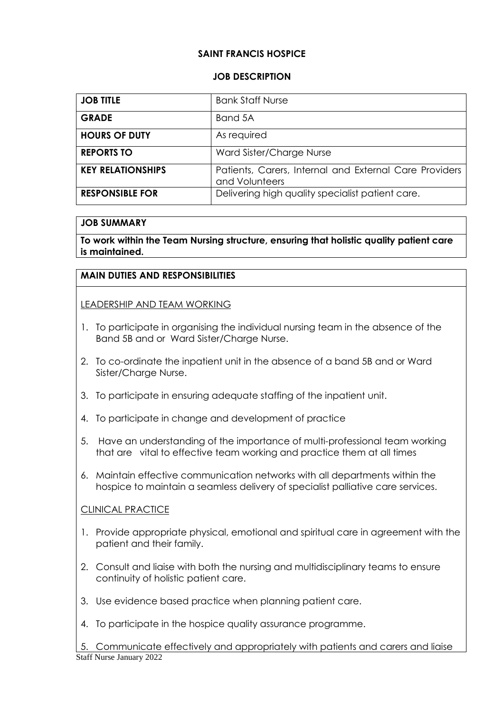## **SAINT FRANCIS HOSPICE**

#### **JOB DESCRIPTION**

| <b>JOB TITLE</b>         | <b>Bank Staff Nurse</b>                                                  |
|--------------------------|--------------------------------------------------------------------------|
| <b>GRADE</b>             | Band 5A                                                                  |
| <b>HOURS OF DUTY</b>     | As required                                                              |
| <b>REPORTS TO</b>        | Ward Sister/Charge Nurse                                                 |
| <b>KEY RELATIONSHIPS</b> | Patients, Carers, Internal and External Care Providers<br>and Volunteers |
| <b>RESPONSIBLE FOR</b>   | Delivering high quality specialist patient care.                         |

#### **JOB SUMMARY**

**To work within the Team Nursing structure, ensuring that holistic quality patient care is maintained.**

## **MAIN DUTIES AND RESPONSIBILITIES**

LEADERSHIP AND TEAM WORKING

- 1. To participate in organising the individual nursing team in the absence of the Band 5B and or Ward Sister/Charge Nurse.
- 2. To co-ordinate the inpatient unit in the absence of a band 5B and or Ward Sister/Charae Nurse.
- 3. To participate in ensuring adequate staffing of the inpatient unit.
- 4. To participate in change and development of practice
- 5. Have an understanding of the importance of multi-professional team working that are vital to effective team working and practice them at all times
- 6. Maintain effective communication networks with all departments within the hospice to maintain a seamless delivery of specialist palliative care services.

#### CLINICAL PRACTICE

- 1. Provide appropriate physical, emotional and spiritual care in agreement with the patient and their family.
- 2. Consult and liaise with both the nursing and multidisciplinary teams to ensure continuity of holistic patient care.
- 3. Use evidence based practice when planning patient care.
- 4. To participate in the hospice quality assurance programme.

Staff Nurse January 2022 5. Communicate effectively and appropriately with patients and carers and liaise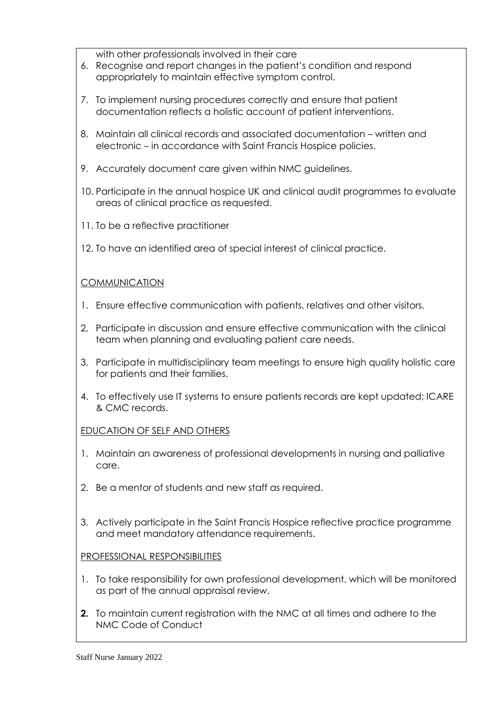with other professionals involved in their care

- 6. Recognise and report changes in the patient's condition and respond appropriately to maintain effective symptom control.
- 7. To implement nursing procedures correctly and ensure that patient documentation reflects a holistic account of patient interventions.
- 8. Maintain all clinical records and associated documentation written and electronic – in accordance with Saint Francis Hospice policies.
- 9. Accurately document care given within NMC guidelines.
- 10. Participate in the annual hospice UK and clinical audit programmes to evaluate areas of clinical practice as requested.
- 11. To be a reflective practitioner
- 12. To have an identified area of special interest of clinical practice.

## **COMMUNICATION**

- 1. Ensure effective communication with patients, relatives and other visitors.
- 2. Participate in discussion and ensure effective communication with the clinical team when planning and evaluating patient care needs.
- 3. Participate in multidisciplinary team meetings to ensure high quality holistic care for patients and their families.
- 4. To effectively use IT systems to ensure patients records are kept updated; ICARE & CMC records.

## EDUCATION OF SELF AND OTHERS

- 1. Maintain an awareness of professional developments in nursing and palliative care.
- 2. Be a mentor of students and new staff as required.
- 3. Actively participate in the Saint Francis Hospice reflective practice programme and meet mandatory attendance requirements.

# PROFESSIONAL RESPONSIBILITIES

- 1. To take responsibility for own professional development, which will be monitored as part of the annual appraisal review.
- **2.** To maintain current registration with the NMC at all times and adhere to the NMC Code of Conduct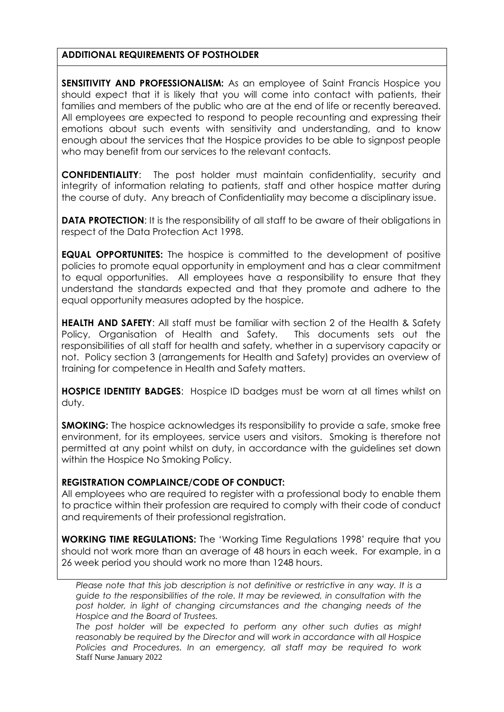### **ADDITIONAL REQUIREMENTS OF POSTHOLDER**

**SENSITIVITY AND PROFESSIONALISM:** As an employee of Saint Francis Hospice you should expect that it is likely that you will come into contact with patients, their families and members of the public who are at the end of life or recently bereaved. All employees are expected to respond to people recounting and expressing their emotions about such events with sensitivity and understanding, and to know enough about the services that the Hospice provides to be able to signpost people who may benefit from our services to the relevant contacts.

**CONFIDENTIALITY**: The post holder must maintain confidentiality, security and integrity of information relating to patients, staff and other hospice matter during the course of duty. Any breach of Confidentiality may become a disciplinary issue.

**DATA PROTECTION:** It is the responsibility of all staff to be aware of their obligations in respect of the Data Protection Act 1998.

**EQUAL OPPORTUNITES:** The hospice is committed to the development of positive policies to promote equal opportunity in employment and has a clear commitment to equal opportunities. All employees have a responsibility to ensure that they understand the standards expected and that they promote and adhere to the equal opportunity measures adopted by the hospice.

**HEALTH AND SAFETY:** All staff must be familiar with section 2 of the Health & Safety Policy, Organisation of Health and Safety. This documents sets out the responsibilities of all staff for health and safety, whether in a supervisory capacity or not. Policy section 3 (arrangements for Health and Safety) provides an overview of training for competence in Health and Safety matters.

**HOSPICE IDENTITY BADGES**: Hospice ID badges must be worn at all times whilst on duty.

**SMOKING:** The hospice acknowledges its responsibility to provide a safe, smoke free environment, for its employees, service users and visitors. Smoking is therefore not permitted at any point whilst on duty, in accordance with the guidelines set down within the Hospice No Smoking Policy.

## **REGISTRATION COMPLAINCE/CODE OF CONDUCT:**

All employees who are required to register with a professional body to enable them to practice within their profession are required to comply with their code of conduct and requirements of their professional registration.

**WORKING TIME REGULATIONS:** The 'Working Time Regulations 1998' require that you should not work more than an average of 48 hours in each week. For example, in a 26 week period you should work no more than 1248 hours.

*Please note that this job description is not definitive or restrictive in any way. It is a guide to the responsibilities of the role. It may be reviewed, in consultation with the*  post holder, in light of changing circumstances and the changing needs of the *Hospice and the Board of Trustees.*

Staff Nurse January 2022 *The post holder will be expected to perform any other such duties as might reasonably be required by the Director and will work in accordance with all Hospice Policies and Procedures. In an emergency, all staff may be required to work*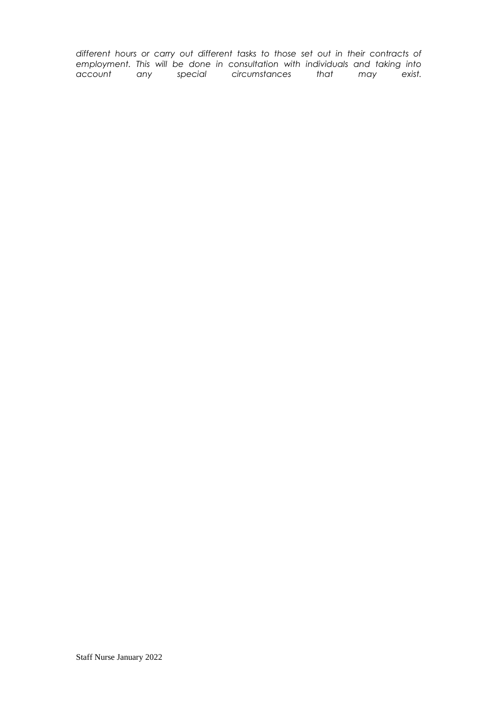*different hours or carry out different tasks to those set out in their contracts of employment. This will be done in consultation with individuals and taking into account any special circumstances that may exist.*